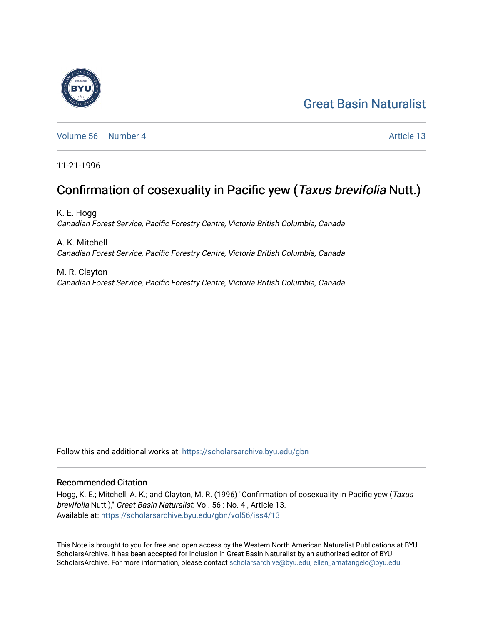#### [Great Basin Naturalist](https://scholarsarchive.byu.edu/gbn)



[Volume 56](https://scholarsarchive.byu.edu/gbn/vol56) [Number 4](https://scholarsarchive.byu.edu/gbn/vol56/iss4) Article 13

11-21-1996

### Confirmation of cosexuality in Pacific yew (Taxus brevifolia Nutt.)

K. E. Hogg Canadian Forest Service, Pacific Forestry Centre, Victoria British Columbia, Canada

A. K. Mitchell Canadian Forest Service, Pacific Forestry Centre, Victoria British Columbia, Canada

M. R. Clayton Canadian Forest Service, Pacific Forestry Centre, Victoria British Columbia, Canada

Follow this and additional works at: [https://scholarsarchive.byu.edu/gbn](https://scholarsarchive.byu.edu/gbn?utm_source=scholarsarchive.byu.edu%2Fgbn%2Fvol56%2Fiss4%2F13&utm_medium=PDF&utm_campaign=PDFCoverPages) 

#### Recommended Citation

Hogg, K. E.; Mitchell, A. K.; and Clayton, M. R. (1996) "Confirmation of cosexuality in Pacific yew (Taxus brevifolia Nutt.)," Great Basin Naturalist: Vol. 56 : No. 4 , Article 13. Available at: [https://scholarsarchive.byu.edu/gbn/vol56/iss4/13](https://scholarsarchive.byu.edu/gbn/vol56/iss4/13?utm_source=scholarsarchive.byu.edu%2Fgbn%2Fvol56%2Fiss4%2F13&utm_medium=PDF&utm_campaign=PDFCoverPages) 

This Note is brought to you for free and open access by the Western North American Naturalist Publications at BYU ScholarsArchive. It has been accepted for inclusion in Great Basin Naturalist by an authorized editor of BYU ScholarsArchive. For more information, please contact [scholarsarchive@byu.edu, ellen\\_amatangelo@byu.edu.](mailto:scholarsarchive@byu.edu,%20ellen_amatangelo@byu.edu)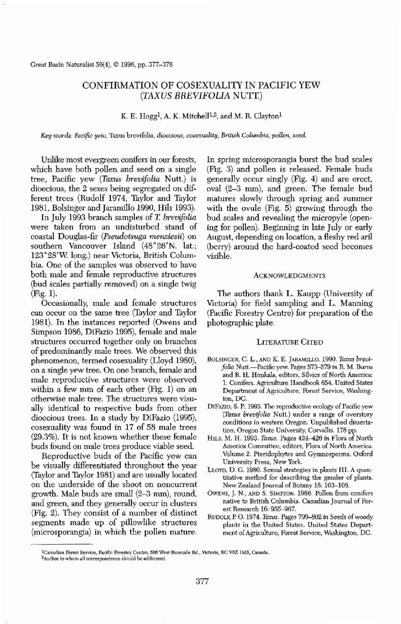Great Basin Naturalist 56(4), © 1996, pp. 377-378

# CONFIRMATION OF COSEXUALITY IN PACIFIC YEW *(TAXUS BREVIFOLIA* NUTI)

K. E. Hogg<sup>1</sup>, A. K. Mitchell<sup>1,2</sup>, and M. R. Clayton<sup>1</sup>

*Key words: Pacific yew,* Taxus brevifolia, *dioecious, cosexuality, British Columbia, pollen, seed.* 

Unlike most evergreen conifers in our forests, which have botb pollen and seed on a single tree, Pacific yew *(Taxus brevifolia Nutt.)* is dioecious, the 2 sexes being segregated on different trees (Rudolf 1974, Taylor and Taylor 1981, Bolsinger and Jaramillo 1990, Hils 1993).

In July 1993 branch samples of *T brevifolia* were taken from an undisturbed stand of coastal Douglas-fir *(PsewJ.ot.suga menziesii)* on southern Vancouver Island (48°26'N. lat.; 123°28'W long.) near Victoria, Britisb Columbia. One of the samples was observed to have both male and female reproductive structures (bud scales partially removed) on a single twig (Fig. 1). Occasionally, male and female structures can occur on the same tree (Taylor and Taylor 1981). In the instances reported (Owens and Simpson 1986, DiFazio 1995), female and male stmctures occurred together only on branches of predominantly male trees. We observed this phenomenon, termed cosexuality (Uoyd 1980), on a single yew tree. On one branch, female and male reproductive structures were observed within a few mm of each other (Fig. 1) on an otherwise male tree. The structures were visu~ ally identical to respective buds from other dioecious trees. In a study by DiFazio (1995), cosexuality was found in 17 of 58 male trees (29.3%). It is not known whether these female buds found on male trees produce viable seed. Reproductive buds of the Pacific yew can be visually differentiated throughout the year (Taylor and Taylor 1981) and are usually located on the underside of the shoot on noncurrent growth. Male buds are small (2-3 *rom),* round, and green, and they generally occur in clusters (Fig. 2). They consist of a number of distinct segments made up of pillowlike structures (microsporangia) in which the pollen mature.

In spring microsporangia burst the bud scales (Fig. 3) and pollen is released. Female buds generally occur singly (Fig. 4) and are erect, oval (2-3 mm), and green. The female bud matures slowly through spring and summer with the ovule (Fig. 5) growing through the bud scales and revealing the micropyle (opening for pollen). Beginning in late July or early August, depending on location, a fleshy red ariI (berry) around the hard-coated seed becomes visible.

## ACKNOWLEDGMENTS

The authors thank L. Kaupp (University of Victoria) for field sampling and L. Manning (Pacific Forestry Centre) for preparation of the photographic plate.

## LITERATURE CITED

- BOLSINGER, C. L., AND K. E. JARAMILLO. 1990. Taxus *brevifolia* Nutt.—Pacific yew. Pages 573–579 *in* R. M. Burns and B. H. Honkala, editors, Silvics of North America: 1. Conifers. Agriculture Handbook 654. United States Department of Agriculture, Forest Service, Washington, DC.
- DIFAZIO, S. P. 1995. The reproductive ecology of Pacific yew *(Thx1IS brevi/alia* Nutt.) under a range of overstory conditions in western Oregon. Unpublished dissertation, Oregon State University, Corvallis. 178 pp.
- HILS, M. H. 1993. *Taxw.* Pages 424-426 *in* Flora of North America Committee. editors, Flora of North America. Volume 2. Pteridophytes and Cymnosperms. Oxford University Press, New York.
- LLOYD, D. C. 1980. Sexual strategies in plants III. A quantitative method for describing the gender of plants. New Zealand Journal of Botany 18: 103-108.
- OwENS, J. N., AND S. SlMPSON. 1986. Pollen from conifers native to British Columbia. Canadian Journal of Forest Research 16: 955-967.
- RUDOLF, P. O. 1974. *Taxus.* Pages *799--802* in Seeds ofwoody plants in the United States. United States Department of Agriculture, Forest Service, Washington, DC.



<sup>&</sup>lt;sup>1</sup>Canadian Forest Service, Pacific Forestry Centre, 506 West Burnside Rd., Victoria, BC V8Z 1M5, Canada. <sup>2</sup>Author to whom all correspondence should be addressed.